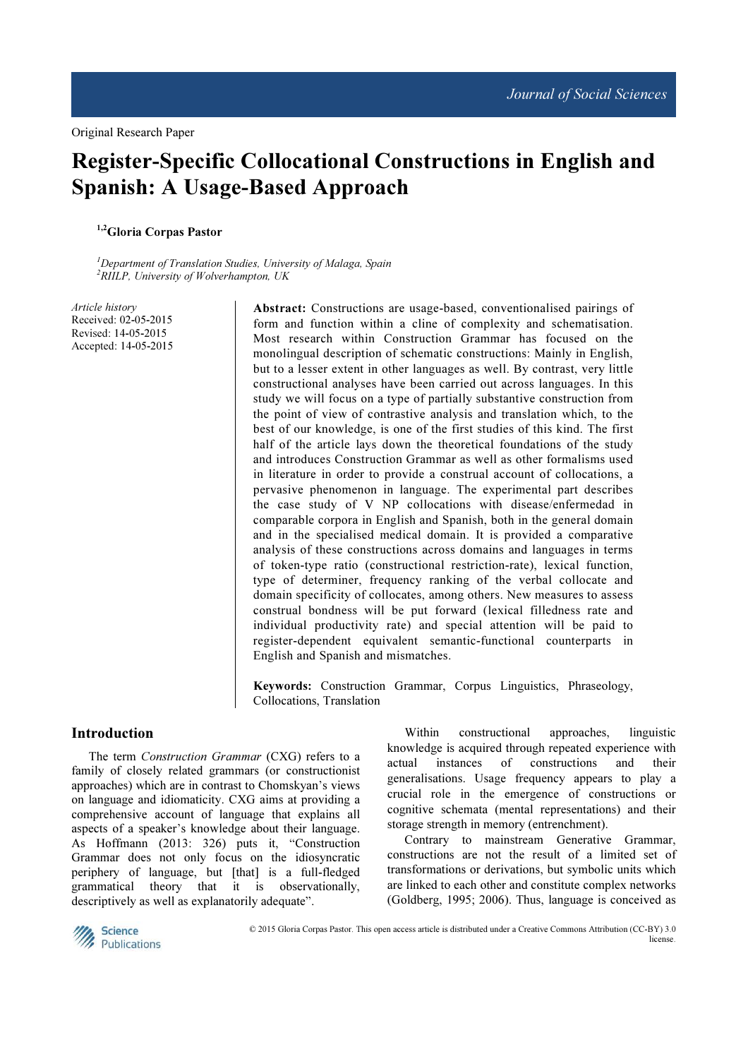Original Research Paper

# Register-Specific Collocational Constructions in English and Spanish: A Usage-Based Approach

1,2Gloria Corpas Pastor

 $1$ Department of Translation Studies, University of Malaga, Spain  $2$ RIILP, University of Wolverhampton, UK

Article history Received: 02-05-2015 Revised: 14-05-2015 Accepted: 14-05-2015

Abstract: Constructions are usage-based, conventionalised pairings of form and function within a cline of complexity and schematisation. Most research within Construction Grammar has focused on the monolingual description of schematic constructions: Mainly in English, but to a lesser extent in other languages as well. By contrast, very little constructional analyses have been carried out across languages. In this study we will focus on a type of partially substantive construction from the point of view of contrastive analysis and translation which, to the best of our knowledge, is one of the first studies of this kind. The first half of the article lays down the theoretical foundations of the study and introduces Construction Grammar as well as other formalisms used in literature in order to provide a construal account of collocations, a pervasive phenomenon in language. The experimental part describes the case study of V NP collocations with disease/enfermedad in comparable corpora in English and Spanish, both in the general domain and in the specialised medical domain. It is provided a comparative analysis of these constructions across domains and languages in terms of token-type ratio (constructional restriction-rate), lexical function, type of determiner, frequency ranking of the verbal collocate and domain specificity of collocates, among others. New measures to assess construal bondness will be put forward (lexical filledness rate and individual productivity rate) and special attention will be paid to register-dependent equivalent semantic-functional counterparts in English and Spanish and mismatches.

Keywords: Construction Grammar, Corpus Linguistics, Phraseology, Collocations, Translation

# Introduction

The term Construction Grammar (CXG) refers to a family of closely related grammars (or constructionist approaches) which are in contrast to Chomskyan's views on language and idiomaticity. CXG aims at providing a comprehensive account of language that explains all aspects of a speaker's knowledge about their language. As Hoffmann (2013: 326) puts it, "Construction Grammar does not only focus on the idiosyncratic periphery of language, but [that] is a full-fledged grammatical theory that it is observationally, descriptively as well as explanatorily adequate".

Within constructional approaches, linguistic knowledge is acquired through repeated experience with actual instances of constructions and their generalisations. Usage frequency appears to play a crucial role in the emergence of constructions or cognitive schemata (mental representations) and their storage strength in memory (entrenchment).

Contrary to mainstream Generative Grammar, constructions are not the result of a limited set of transformations or derivations, but symbolic units which are linked to each other and constitute complex networks (Goldberg, 1995; 2006). Thus, language is conceived as



 © 2015 Gloria Corpas Pastor. This open access article is distributed under a Creative Commons Attribution (CC-BY) 3.0 license.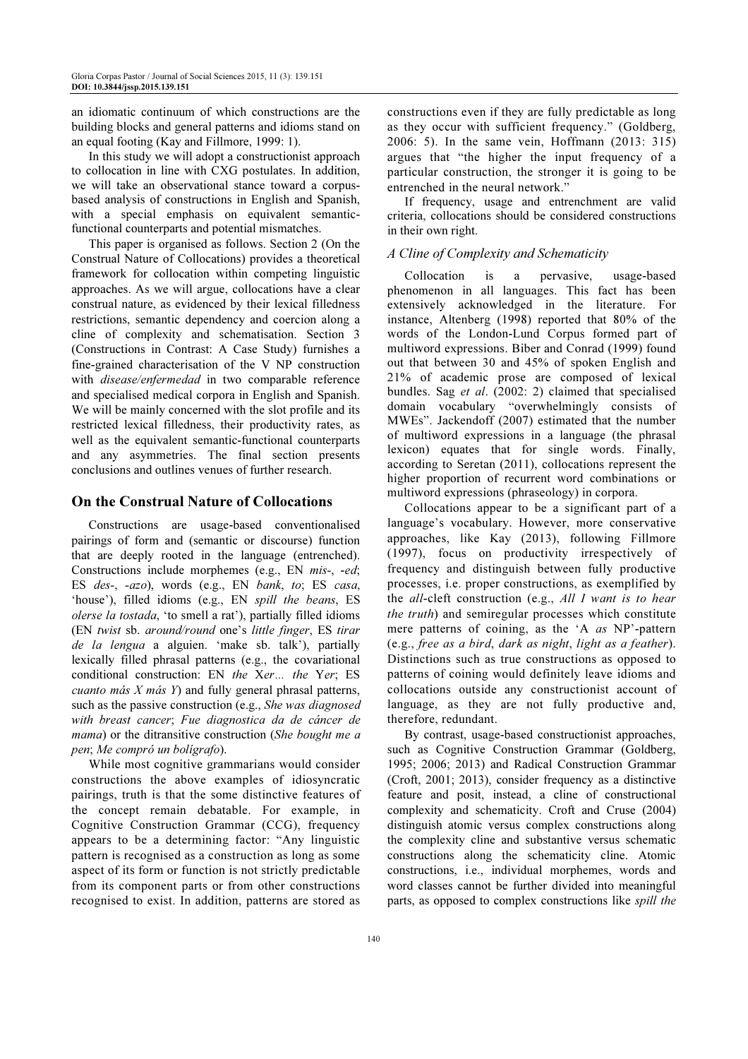an idiomatic continuum of which constructions are the building blocks and general patterns and idioms stand on an equal footing (Kay and Fillmore, 1999: 1).

In this study we will adopt a constructionist approach to collocation in line with CXG postulates. In addition, we will take an observational stance toward a corpusbased analysis of constructions in English and Spanish, with a special emphasis on equivalent semanticfunctional counterparts and potential mismatches.

This paper is organised as follows. Section 2 (On the Construal Nature of Collocations) provides a theoretical framework for collocation within competing linguistic approaches. As we will argue, collocations have a clear construal nature, as evidenced by their lexical filledness restrictions, semantic dependency and coercion along a cline of complexity and schematisation. Section 3 (Constructions in Contrast: A Case Study) furnishes a fine-grained characterisation of the V NP construction with disease/enfermedad in two comparable reference and specialised medical corpora in English and Spanish. We will be mainly concerned with the slot profile and its restricted lexical filledness, their productivity rates, as well as the equivalent semantic-functional counterparts and any asymmetries. The final section presents conclusions and outlines venues of further research.

# On the Construal Nature of Collocations

Constructions are usage-based conventionalised pairings of form and (semantic or discourse) function that are deeply rooted in the language (entrenched). Constructions include morphemes (e.g., EN mis-, -ed; ES des-, -azo), words (e.g., EN bank, to; ES casa, 'house'), filled idioms (e.g., EN spill the beans, ES olerse la tostada, 'to smell a rat'), partially filled idioms (EN twist sb. around/round one's little finger, ES tirar de la lengua a alguien. 'make sb. talk'), partially lexically filled phrasal patterns (e.g., the covariational conditional construction: EN the Xer… the Yer; ES *cuanto más X más Y*) and fully general phrasal patterns, such as the passive construction (e.g., She was diagnosed with breast cancer; Fue diagnostica da de cáncer de mama) or the ditransitive construction (She bought me a pen; Me compró un bolígrafo).

While most cognitive grammarians would consider constructions the above examples of idiosyncratic pairings, truth is that the some distinctive features of the concept remain debatable. For example, in Cognitive Construction Grammar (CCG), frequency appears to be a determining factor: "Any linguistic pattern is recognised as a construction as long as some aspect of its form or function is not strictly predictable from its component parts or from other constructions recognised to exist. In addition, patterns are stored as constructions even if they are fully predictable as long as they occur with sufficient frequency." (Goldberg, 2006: 5). In the same vein, Hoffmann (2013: 315) argues that "the higher the input frequency of a particular construction, the stronger it is going to be entrenched in the neural network."

If frequency, usage and entrenchment are valid criteria, collocations should be considered constructions in their own right.

## A Cline of Complexity and Schematicity

Collocation is a pervasive, usage-based phenomenon in all languages. This fact has been extensively acknowledged in the literature. For instance, Altenberg (1998) reported that 80% of the words of the London-Lund Corpus formed part of multiword expressions. Biber and Conrad (1999) found out that between 30 and 45% of spoken English and 21% of academic prose are composed of lexical bundles. Sag et al. (2002: 2) claimed that specialised domain vocabulary "overwhelmingly consists of MWEs". Jackendoff (2007) estimated that the number of multiword expressions in a language (the phrasal lexicon) equates that for single words. Finally, according to Seretan (2011), collocations represent the higher proportion of recurrent word combinations or multiword expressions (phraseology) in corpora.

Collocations appear to be a significant part of a language's vocabulary. However, more conservative approaches, like Kay (2013), following Fillmore (1997), focus on productivity irrespectively of frequency and distinguish between fully productive processes, i.e. proper constructions, as exemplified by the all-cleft construction (e.g., All I want is to hear the truth) and semiregular processes which constitute mere patterns of coining, as the 'A *as* NP'-pattern (e.g., free as a bird, dark as night, light as a feather). Distinctions such as true constructions as opposed to patterns of coining would definitely leave idioms and collocations outside any constructionist account of language, as they are not fully productive and, therefore, redundant.

By contrast, usage-based constructionist approaches, such as Cognitive Construction Grammar (Goldberg, 1995; 2006; 2013) and Radical Construction Grammar (Croft, 2001; 2013), consider frequency as a distinctive feature and posit, instead, a cline of constructional complexity and schematicity. Croft and Cruse (2004) distinguish atomic versus complex constructions along the complexity cline and substantive versus schematic constructions along the schematicity cline. Atomic constructions, i.e., individual morphemes, words and word classes cannot be further divided into meaningful parts, as opposed to complex constructions like spill the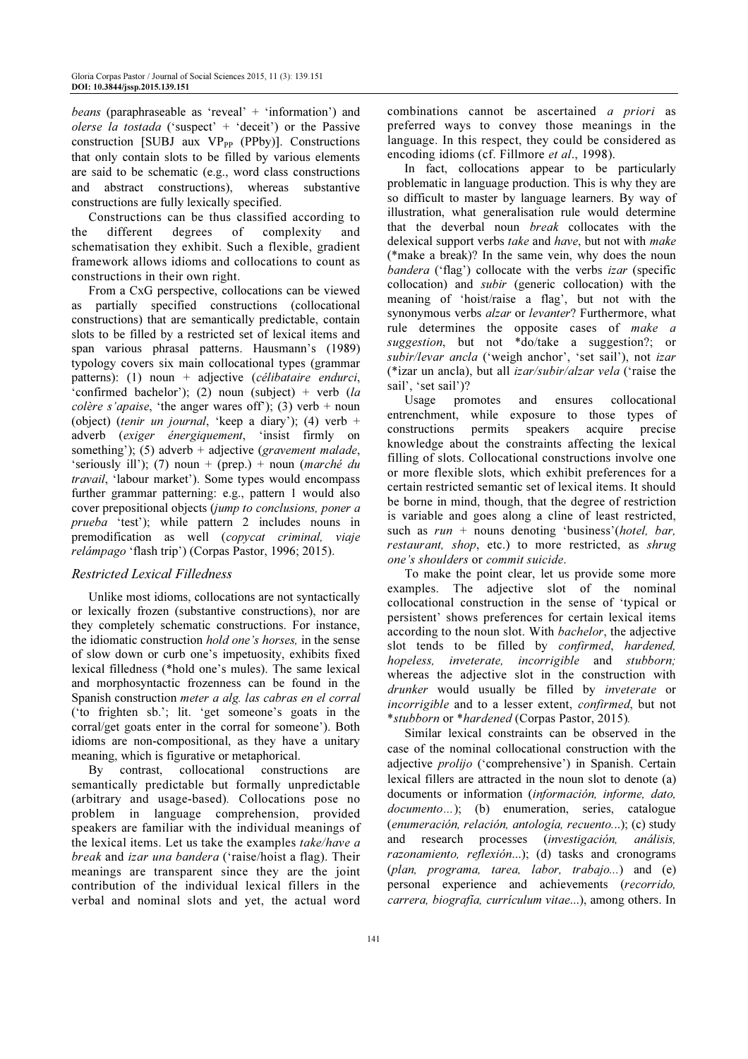*beans* (paraphraseable as 'reveal'  $+$  'information') and olerse la tostada ('suspect' + 'deceit') or the Passive construction [SUBJ aux  $VP_{PP}$  (PPby)]. Constructions that only contain slots to be filled by various elements are said to be schematic (e.g., word class constructions and abstract constructions), whereas substantive constructions are fully lexically specified.

Constructions can be thus classified according to the different degrees of complexity and schematisation they exhibit. Such a flexible, gradient framework allows idioms and collocations to count as constructions in their own right.

From a CxG perspective, collocations can be viewed as partially specified constructions (collocational constructions) that are semantically predictable, contain slots to be filled by a restricted set of lexical items and span various phrasal patterns. Hausmann's (1989) typology covers six main collocational types (grammar patterns): (1) noun + adjective (*célibataire endurci*, 'confirmed bachelor'); (2) noun (subject) + verb (la *colère s'apaise*, 'the anger wares off'); (3) verb + noun (object) (tenir un journal, 'keep a diary'); (4) verb + adverb (exiger énergiquement, 'insist firmly on something'); (5) adverb + adjective (gravement malade, 'seriously ill'); (7) noun + (prep.) + noun (marché du travail, 'labour market'). Some types would encompass further grammar patterning: e.g., pattern 1 would also cover prepositional objects (jump to conclusions, poner a prueba 'test'); while pattern 2 includes nouns in premodification as well (copycat criminal, viaje relámpago 'flash trip') (Corpas Pastor, 1996; 2015).

## Restricted Lexical Filledness

Unlike most idioms, collocations are not syntactically or lexically frozen (substantive constructions), nor are they completely schematic constructions. For instance, the idiomatic construction hold one's horses, in the sense of slow down or curb one's impetuosity, exhibits fixed lexical filledness (\*hold one's mules). The same lexical and morphosyntactic frozenness can be found in the Spanish construction meter a alg. las cabras en el corral ('to frighten sb.'; lit. 'get someone's goats in the corral/get goats enter in the corral for someone'). Both idioms are non-compositional, as they have a unitary meaning, which is figurative or metaphorical.

By contrast, collocational constructions are semantically predictable but formally unpredictable (arbitrary and usage-based). Collocations pose no problem in language comprehension, provided speakers are familiar with the individual meanings of the lexical items. Let us take the examples take/have a break and izar una bandera ('raise/hoist a flag). Their meanings are transparent since they are the joint contribution of the individual lexical fillers in the verbal and nominal slots and yet, the actual word

combinations cannot be ascertained a priori as preferred ways to convey those meanings in the language. In this respect, they could be considered as encoding idioms (cf. Fillmore *et al.*, 1998).

In fact, collocations appear to be particularly problematic in language production. This is why they are so difficult to master by language learners. By way of illustration, what generalisation rule would determine that the deverbal noun break collocates with the delexical support verbs take and have, but not with make (\*make a break)? In the same vein, why does the noun bandera ('flag') collocate with the verbs *izar* (specific collocation) and subir (generic collocation) with the meaning of 'hoist/raise a flag', but not with the synonymous verbs alzar or levanter? Furthermore, what rule determines the opposite cases of make a suggestion, but not \*do/take a suggestion?; or subir/levar ancla ('weigh anchor', 'set sail'), not izar (\*izar un ancla), but all izar/subir/alzar vela ('raise the sail', 'set sail')?

Usage promotes and ensures collocational entrenchment, while exposure to those types of constructions permits speakers acquire precise knowledge about the constraints affecting the lexical filling of slots. Collocational constructions involve one or more flexible slots, which exhibit preferences for a certain restricted semantic set of lexical items. It should be borne in mind, though, that the degree of restriction is variable and goes along a cline of least restricted, such as  $run + nouns$  denoting 'business' (hotel, bar, restaurant, shop, etc.) to more restricted, as shrug one's shoulders or commit suicide.

To make the point clear, let us provide some more examples. The adjective slot of the nominal collocational construction in the sense of 'typical or persistent' shows preferences for certain lexical items according to the noun slot. With bachelor, the adjective slot tends to be filled by confirmed, hardened, hopeless, inveterate, incorrigible and stubborn; whereas the adjective slot in the construction with drunker would usually be filled by inveterate or incorrigible and to a lesser extent, confirmed, but not \*stubborn or \*hardened (Corpas Pastor, 2015).

Similar lexical constraints can be observed in the case of the nominal collocational construction with the adjective prolijo ('comprehensive') in Spanish. Certain lexical fillers are attracted in the noun slot to denote (a) documents or information (información, informe, dato, documento...); (b) enumeration, series, catalogue (enumeración, relación, antología, recuento...); (c) study and research processes (investigación, análisis, razonamiento, reflexión...); (d) tasks and cronograms (plan, programa, tarea, labor, trabajo...) and (e) personal experience and achievements (recorrido, carrera, biografía, currículum vitae...), among others. In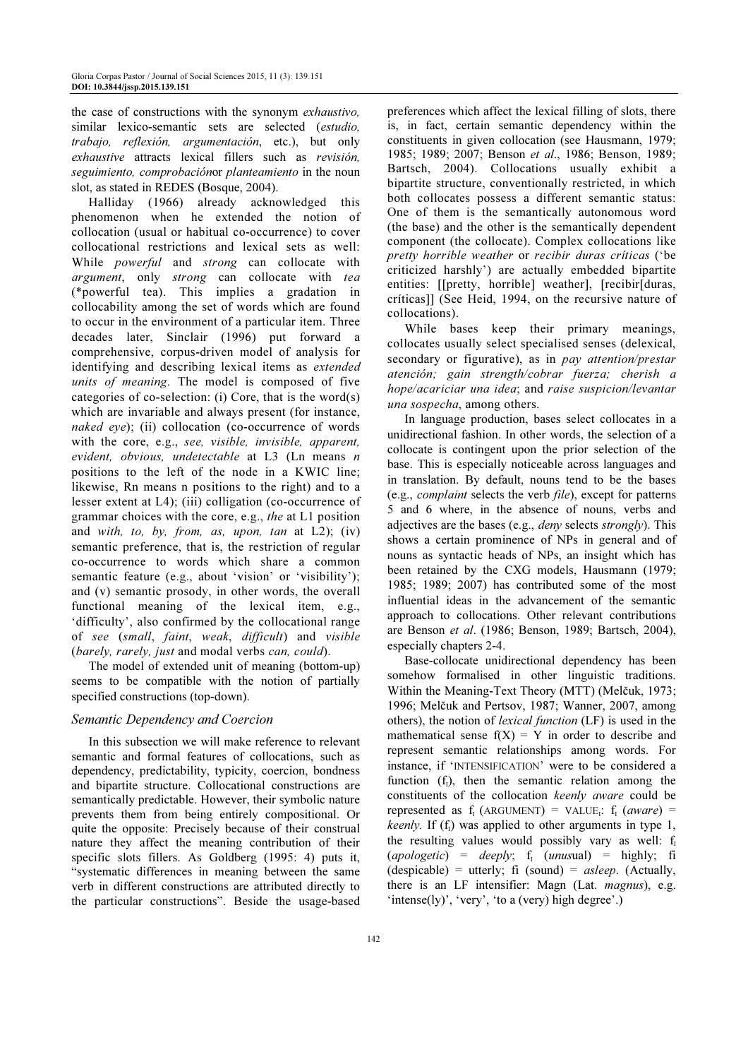the case of constructions with the synonym exhaustivo, similar lexico-semantic sets are selected (estudio, trabajo, reflexión, argumentación, etc.), but only exhaustive attracts lexical fillers such as revisión, seguimiento, comprobaciónor planteamiento in the noun slot, as stated in REDES (Bosque, 2004).

Halliday (1966) already acknowledged this phenomenon when he extended the notion of collocation (usual or habitual co-occurrence) to cover collocational restrictions and lexical sets as well: While *powerful* and strong can collocate with argument, only strong can collocate with tea (\*powerful tea). This implies a gradation in collocability among the set of words which are found to occur in the environment of a particular item. Three decades later, Sinclair (1996) put forward a comprehensive, corpus-driven model of analysis for identifying and describing lexical items as extended units of meaning. The model is composed of five categories of co-selection: (i) Core, that is the word(s) which are invariable and always present (for instance, naked eye); (ii) collocation (co-occurrence of words with the core, e.g., see, visible, invisible, apparent, evident, obvious, undetectable at L3 (Ln means n positions to the left of the node in a KWIC line; likewise, Rn means n positions to the right) and to a lesser extent at L4); (iii) colligation (co-occurrence of grammar choices with the core, e.g., the at L1 position and with, to, by, from, as, upon, tan at  $L2$ ); (iv) semantic preference, that is, the restriction of regular co-occurrence to words which share a common semantic feature (e.g., about 'vision' or 'visibility'); and (v) semantic prosody, in other words, the overall functional meaning of the lexical item, e.g., 'difficulty', also confirmed by the collocational range of see (small, faint, weak, difficult) and visible (barely, rarely, just and modal verbs can, could).

The model of extended unit of meaning (bottom-up) seems to be compatible with the notion of partially specified constructions (top-down).

## Semantic Dependency and Coercion

In this subsection we will make reference to relevant semantic and formal features of collocations, such as dependency, predictability, typicity, coercion, bondness and bipartite structure. Collocational constructions are semantically predictable. However, their symbolic nature prevents them from being entirely compositional. Or quite the opposite: Precisely because of their construal nature they affect the meaning contribution of their specific slots fillers. As Goldberg (1995: 4) puts it, "systematic differences in meaning between the same verb in different constructions are attributed directly to the particular constructions". Beside the usage-based

preferences which affect the lexical filling of slots, there is, in fact, certain semantic dependency within the constituents in given collocation (see Hausmann, 1979; 1985; 1989; 2007; Benson et al., 1986; Benson, 1989; Bartsch, 2004). Collocations usually exhibit a bipartite structure, conventionally restricted, in which both collocates possess a different semantic status: One of them is the semantically autonomous word (the base) and the other is the semantically dependent component (the collocate). Complex collocations like pretty horrible weather or recibir duras críticas ('be criticized harshly') are actually embedded bipartite entities: [[pretty, horrible] weather], [recibir[duras, críticas]] (See Heid, 1994, on the recursive nature of collocations).

While bases keep their primary meanings, collocates usually select specialised senses (delexical, secondary or figurative), as in pay attention/prestar atención; gain strength/cobrar fuerza; cherish a hope/acariciar una idea; and raise suspicion/levantar una sospecha, among others.

In language production, bases select collocates in a unidirectional fashion. In other words, the selection of a collocate is contingent upon the prior selection of the base. This is especially noticeable across languages and in translation. By default, nouns tend to be the bases (e.g., complaint selects the verb file), except for patterns 5 and 6 where, in the absence of nouns, verbs and adjectives are the bases (e.g., deny selects strongly). This shows a certain prominence of NPs in general and of nouns as syntactic heads of NPs, an insight which has been retained by the CXG models, Hausmann (1979; 1985; 1989; 2007) has contributed some of the most influential ideas in the advancement of the semantic approach to collocations. Other relevant contributions are Benson et al. (1986; Benson, 1989; Bartsch, 2004), especially chapters 2-4.

Base-collocate unidirectional dependency has been somehow formalised in other linguistic traditions. Within the Meaning-Text Theory (MTT) (Melčuk, 1973; 1996; Melčuk and Pertsov, 1987; Wanner, 2007, among others), the notion of lexical function (LF) is used in the mathematical sense  $f(X) = Y$  in order to describe and represent semantic relationships among words. For instance, if 'INTENSIFICATION' were to be considered a function  $(f<sub>i</sub>)$ , then the semantic relation among the constituents of the collocation keenly aware could be represented as  $f_{I}$  (ARGUMENT) = VALUE<sub>I</sub>:  $f_{I}$  (aware) = *keenly.* If  $(f_i)$  was applied to other arguments in type 1, the resulting values would possibly vary as well:  $f_1$  $(apologic) = deeply; f<sub>I</sub> (unusual) = highly; fi$ (despicable) = utterly; fi (sound) =  $\alpha$ sleep. (Actually, there is an LF intensifier: Magn (Lat. magnus), e.g. 'intense(ly)', 'very', 'to a (very) high degree'.)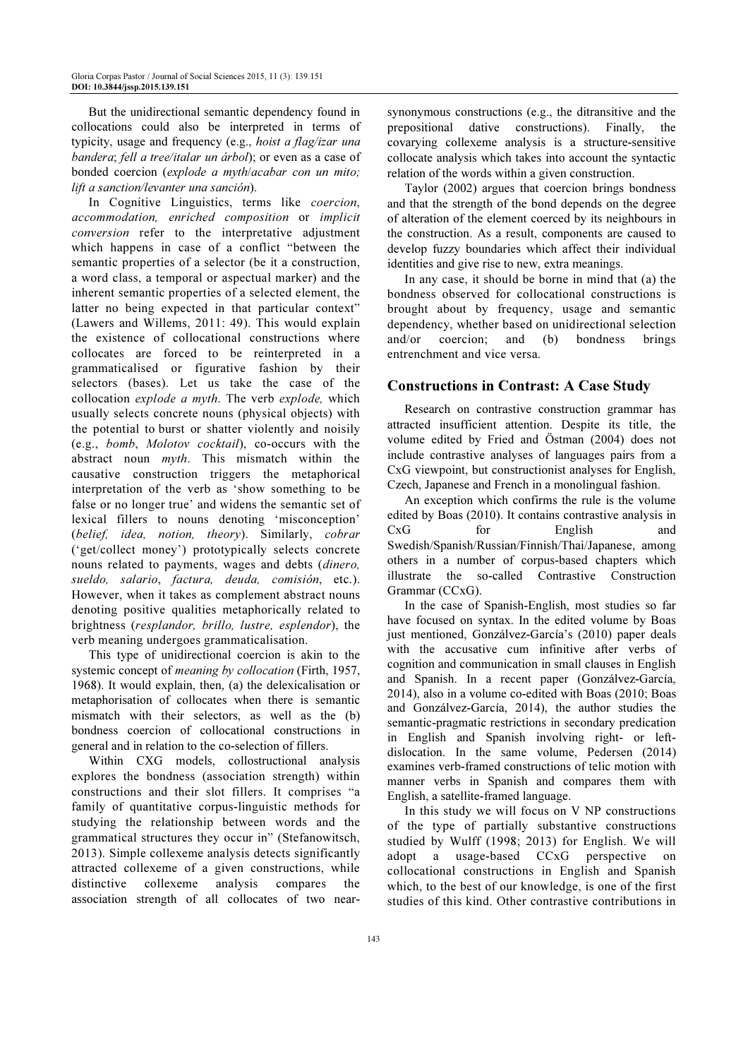But the unidirectional semantic dependency found in collocations could also be interpreted in terms of typicity, usage and frequency (e.g., hoist a flag/izar una bandera; fell a tree/italar un árbol); or even as a case of bonded coercion (explode a myth/acabar con un mito; lift a sanction/levanter una sanción).

In Cognitive Linguistics, terms like coercion, accommodation, enriched composition or implicit conversion refer to the interpretative adjustment which happens in case of a conflict "between the semantic properties of a selector (be it a construction, a word class, a temporal or aspectual marker) and the inherent semantic properties of a selected element, the latter no being expected in that particular context" (Lawers and Willems, 2011: 49). This would explain the existence of collocational constructions where collocates are forced to be reinterpreted in a grammaticalised or figurative fashion by their selectors (bases). Let us take the case of the collocation explode a myth. The verb explode, which usually selects concrete nouns (physical objects) with the potential to burst or shatter violently and noisily (e.g., bomb, Molotov cocktail), co-occurs with the abstract noun myth. This mismatch within the causative construction triggers the metaphorical interpretation of the verb as 'show something to be false or no longer true' and widens the semantic set of lexical fillers to nouns denoting 'misconception' (belief, idea, notion, theory). Similarly, cobrar ('get/collect money') prototypically selects concrete nouns related to payments, wages and debts (dinero, sueldo, salario, factura, deuda, comisión, etc.). However, when it takes as complement abstract nouns denoting positive qualities metaphorically related to brightness (resplandor, brillo, lustre, esplendor), the verb meaning undergoes grammaticalisation.

This type of unidirectional coercion is akin to the systemic concept of *meaning by collocation* (Firth, 1957, 1968). It would explain, then, (a) the delexicalisation or metaphorisation of collocates when there is semantic mismatch with their selectors, as well as the (b) bondness coercion of collocational constructions in general and in relation to the co-selection of fillers.

Within CXG models, collostructional analysis explores the bondness (association strength) within constructions and their slot fillers. It comprises "a family of quantitative corpus-linguistic methods for studying the relationship between words and the grammatical structures they occur in" (Stefanowitsch, 2013). Simple collexeme analysis detects significantly attracted collexeme of a given constructions, while distinctive collexeme analysis compares the association strength of all collocates of two near-

synonymous constructions (e.g., the ditransitive and the prepositional dative constructions). Finally, the covarying collexeme analysis is a structure-sensitive collocate analysis which takes into account the syntactic relation of the words within a given construction.

Taylor (2002) argues that coercion brings bondness and that the strength of the bond depends on the degree of alteration of the element coerced by its neighbours in the construction. As a result, components are caused to develop fuzzy boundaries which affect their individual identities and give rise to new, extra meanings.

In any case, it should be borne in mind that (a) the bondness observed for collocational constructions is brought about by frequency, usage and semantic dependency, whether based on unidirectional selection and/or coercion; and (b) bondness brings entrenchment and vice versa.

# Constructions in Contrast: A Case Study

Research on contrastive construction grammar has attracted insufficient attention. Despite its title, the volume edited by Fried and Östman (2004) does not include contrastive analyses of languages pairs from a CxG viewpoint, but constructionist analyses for English, Czech, Japanese and French in a monolingual fashion.

An exception which confirms the rule is the volume edited by Boas (2010). It contains contrastive analysis in CxG for English and Swedish/Spanish/Russian/Finnish/Thai/Japanese, among others in a number of corpus-based chapters which illustrate the so-called Contrastive Construction Grammar (CCxG).

In the case of Spanish-English, most studies so far have focused on syntax. In the edited volume by Boas just mentioned, Gonzálvez-García's (2010) paper deals with the accusative cum infinitive after verbs of cognition and communication in small clauses in English and Spanish. In a recent paper (Gonzálvez-García, 2014), also in a volume co-edited with Boas (2010; Boas and Gonzálvez-García, 2014), the author studies the semantic-pragmatic restrictions in secondary predication in English and Spanish involving right- or leftdislocation. In the same volume, Pedersen (2014) examines verb-framed constructions of telic motion with manner verbs in Spanish and compares them with English, a satellite-framed language.

In this study we will focus on V NP constructions of the type of partially substantive constructions studied by Wulff (1998; 2013) for English. We will adopt a usage-based CCxG perspective on collocational constructions in English and Spanish which, to the best of our knowledge, is one of the first studies of this kind. Other contrastive contributions in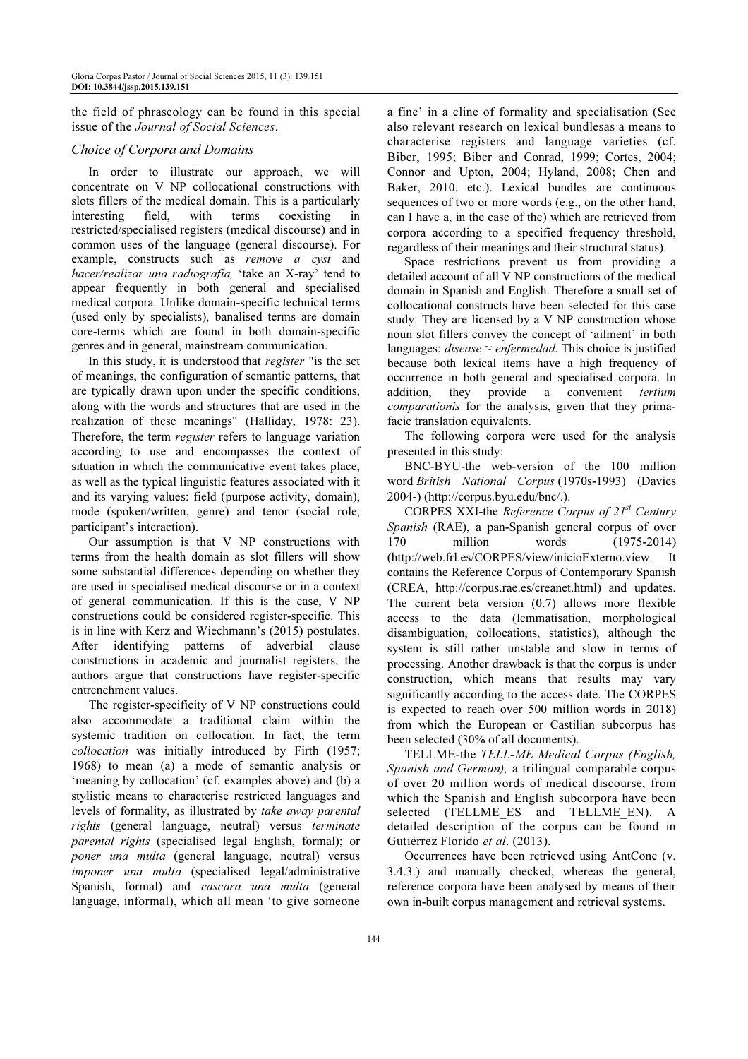the field of phraseology can be found in this special issue of the Journal of Social Sciences.

# Choice of Corpora and Domains

In order to illustrate our approach, we will concentrate on V NP collocational constructions with slots fillers of the medical domain. This is a particularly interesting field, with terms coexisting in restricted/specialised registers (medical discourse) and in common uses of the language (general discourse). For example, constructs such as remove a cyst and hacer/realizar una radiografía, 'take an X-ray' tend to appear frequently in both general and specialised medical corpora. Unlike domain-specific technical terms (used only by specialists), banalised terms are domain core-terms which are found in both domain-specific genres and in general, mainstream communication.

In this study, it is understood that register "is the set of meanings, the configuration of semantic patterns, that are typically drawn upon under the specific conditions, along with the words and structures that are used in the realization of these meanings" (Halliday, 1978: 23). Therefore, the term *register* refers to language variation according to use and encompasses the context of situation in which the communicative event takes place, as well as the typical linguistic features associated with it and its varying values: field (purpose activity, domain), mode (spoken/written, genre) and tenor (social role, participant's interaction).

Our assumption is that V NP constructions with terms from the health domain as slot fillers will show some substantial differences depending on whether they are used in specialised medical discourse or in a context of general communication. If this is the case, V NP constructions could be considered register-specific. This is in line with Kerz and Wiechmann's (2015) postulates. After identifying patterns of adverbial clause constructions in academic and journalist registers, the authors argue that constructions have register-specific entrenchment values.

The register-specificity of V NP constructions could also accommodate a traditional claim within the systemic tradition on collocation. In fact, the term collocation was initially introduced by Firth (1957; 1968) to mean (a) a mode of semantic analysis or 'meaning by collocation' (cf. examples above) and (b) a stylistic means to characterise restricted languages and levels of formality, as illustrated by take away parental rights (general language, neutral) versus terminate parental rights (specialised legal English, formal); or poner una multa (general language, neutral) versus imponer una multa (specialised legal/administrative Spanish, formal) and *cascara una multa* (general language, informal), which all mean 'to give someone

a fine' in a cline of formality and specialisation (See also relevant research on lexical bundlesas a means to characterise registers and language varieties (cf. Biber, 1995; Biber and Conrad, 1999; Cortes, 2004; Connor and Upton, 2004; Hyland, 2008; Chen and Baker, 2010, etc.). Lexical bundles are continuous sequences of two or more words (e.g., on the other hand, can I have a, in the case of the) which are retrieved from corpora according to a specified frequency threshold, regardless of their meanings and their structural status).

Space restrictions prevent us from providing a detailed account of all V NP constructions of the medical domain in Spanish and English. Therefore a small set of collocational constructs have been selected for this case study. They are licensed by a V NP construction whose noun slot fillers convey the concept of 'ailment' in both languages: *disease*  $\approx$  *enfermedad*. This choice is justified because both lexical items have a high frequency of occurrence in both general and specialised corpora. In addition, they provide a convenient tertium comparationis for the analysis, given that they primafacie translation equivalents.

The following corpora were used for the analysis presented in this study:

BNC-BYU-the web-version of the 100 million word British National Corpus (1970s-1993) (Davies 2004-) (http://corpus.byu.edu/bnc/.).

CORPES XXI-the Reference Corpus of  $21<sup>st</sup>$  Century Spanish (RAE), a pan-Spanish general corpus of over 170 million words (1975-2014) (http://web.frl.es/CORPES/view/inicioExterno.view. It contains the Reference Corpus of Contemporary Spanish (CREA, http://corpus.rae.es/creanet.html) and updates. The current beta version (0.7) allows more flexible access to the data (lemmatisation, morphological disambiguation, collocations, statistics), although the system is still rather unstable and slow in terms of processing. Another drawback is that the corpus is under construction, which means that results may vary significantly according to the access date. The CORPES is expected to reach over 500 million words in 2018) from which the European or Castilian subcorpus has been selected (30% of all documents).

TELLME-the TELL-ME Medical Corpus (English, Spanish and German), a trilingual comparable corpus of over 20 million words of medical discourse, from which the Spanish and English subcorpora have been selected (TELLME\_ES and TELLME\_EN). A detailed description of the corpus can be found in Gutiérrez Florido et al. (2013).

Occurrences have been retrieved using AntConc (v. 3.4.3.) and manually checked, whereas the general, reference corpora have been analysed by means of their own in-built corpus management and retrieval systems.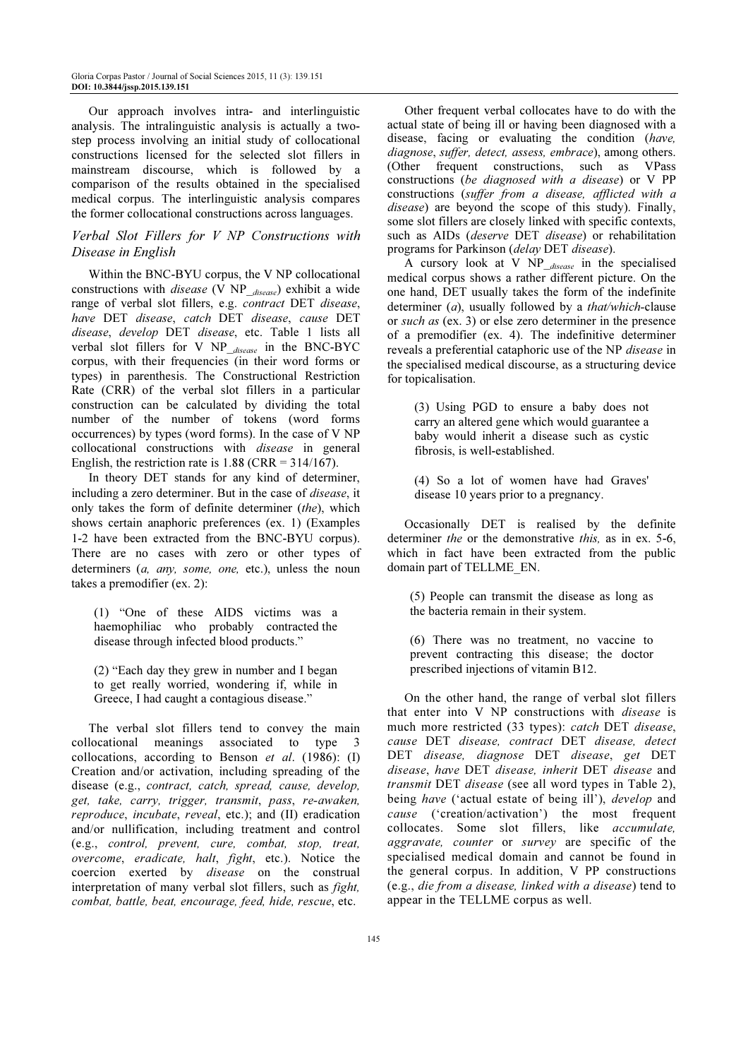Our approach involves intra- and interlinguistic analysis. The intralinguistic analysis is actually a twostep process involving an initial study of collocational constructions licensed for the selected slot fillers in mainstream discourse, which is followed by a comparison of the results obtained in the specialised medical corpus. The interlinguistic analysis compares the former collocational constructions across languages.

## Verbal Slot Fillers for V NP Constructions with Disease in English

Within the BNC-BYU corpus, the V NP collocational constructions with *disease* (V NP<sub>\_disease</sub>) exhibit a wide range of verbal slot fillers, e.g. contract DET disease, have DET disease, catch DET disease, cause DET disease, develop DET disease, etc. Table 1 lists all verbal slot fillers for V  $NP_{\_disease}$  in the BNC-BYC corpus, with their frequencies (in their word forms or types) in parenthesis. The Constructional Restriction Rate (CRR) of the verbal slot fillers in a particular construction can be calculated by dividing the total number of the number of tokens (word forms occurrences) by types (word forms). In the case of V NP collocational constructions with disease in general English, the restriction rate is  $1.88$  (CRR =  $314/167$ ).

In theory DET stands for any kind of determiner, including a zero determiner. But in the case of disease, it only takes the form of definite determiner (the), which shows certain anaphoric preferences (ex. 1) (Examples 1-2 have been extracted from the BNC-BYU corpus). There are no cases with zero or other types of determiners (*a, any, some, one, etc.*), unless the noun takes a premodifier (ex. 2):

(1) "One of these AIDS victims was a haemophiliac who probably contracted the disease through infected blood products."

(2) "Each day they grew in number and I began to get really worried, wondering if, while in Greece, I had caught a contagious disease."

The verbal slot fillers tend to convey the main collocational meanings associated to type 3 collocations, according to Benson et al.  $(1986)$ :  $(I)$ Creation and/or activation, including spreading of the disease (e.g., contract, catch, spread, cause, develop, get, take, carry, trigger, transmit, pass, re-awaken, reproduce, incubate, reveal, etc.); and (II) eradication and/or nullification, including treatment and control (e.g., control, prevent, cure, combat, stop, treat, overcome, eradicate, halt, fight, etc.). Notice the coercion exerted by disease on the construal interpretation of many verbal slot fillers, such as fight, combat, battle, beat, encourage, feed, hide, rescue, etc.

Other frequent verbal collocates have to do with the actual state of being ill or having been diagnosed with a disease, facing or evaluating the condition (have, diagnose, suffer, detect, assess, embrace), among others. (Other frequent constructions, such as VPass constructions (be diagnosed with a disease) or V PP constructions (suffer from a disease, afflicted with a disease) are beyond the scope of this study). Finally, some slot fillers are closely linked with specific contexts, such as AIDs (deserve DET disease) or rehabilitation programs for Parkinson (delay DET disease).

A cursory look at  $V NP$ <sub>disease</sub> in the specialised medical corpus shows a rather different picture. On the one hand, DET usually takes the form of the indefinite determiner  $(a)$ , usually followed by a *that/which*-clause or such as (ex. 3) or else zero determiner in the presence of a premodifier (ex. 4). The indefinitive determiner reveals a preferential cataphoric use of the NP disease in the specialised medical discourse, as a structuring device for topicalisation.

(3) Using PGD to ensure a baby does not carry an altered gene which would guarantee a baby would inherit a disease such as cystic fibrosis, is well-established.

(4) So a lot of women have had Graves' disease 10 years prior to a pregnancy.

Occasionally DET is realised by the definite determiner the or the demonstrative this, as in ex. 5-6, which in fact have been extracted from the public domain part of TELLME\_EN.

(5) People can transmit the disease as long as the bacteria remain in their system.

(6) There was no treatment, no vaccine to prevent contracting this disease; the doctor prescribed injections of vitamin B12.

On the other hand, the range of verbal slot fillers that enter into V NP constructions with disease is much more restricted (33 types): catch DET disease, cause DET disease, contract DET disease, detect DET disease, diagnose DET disease, get DET disease, have DET disease, inherit DET disease and transmit DET disease (see all word types in Table 2), being have ('actual estate of being ill'), develop and cause ('creation/activation') the most frequent collocates. Some slot fillers, like accumulate, aggravate, counter or survey are specific of the specialised medical domain and cannot be found in the general corpus. In addition, V PP constructions (e.g., die from a disease, linked with a disease) tend to appear in the TELLME corpus as well.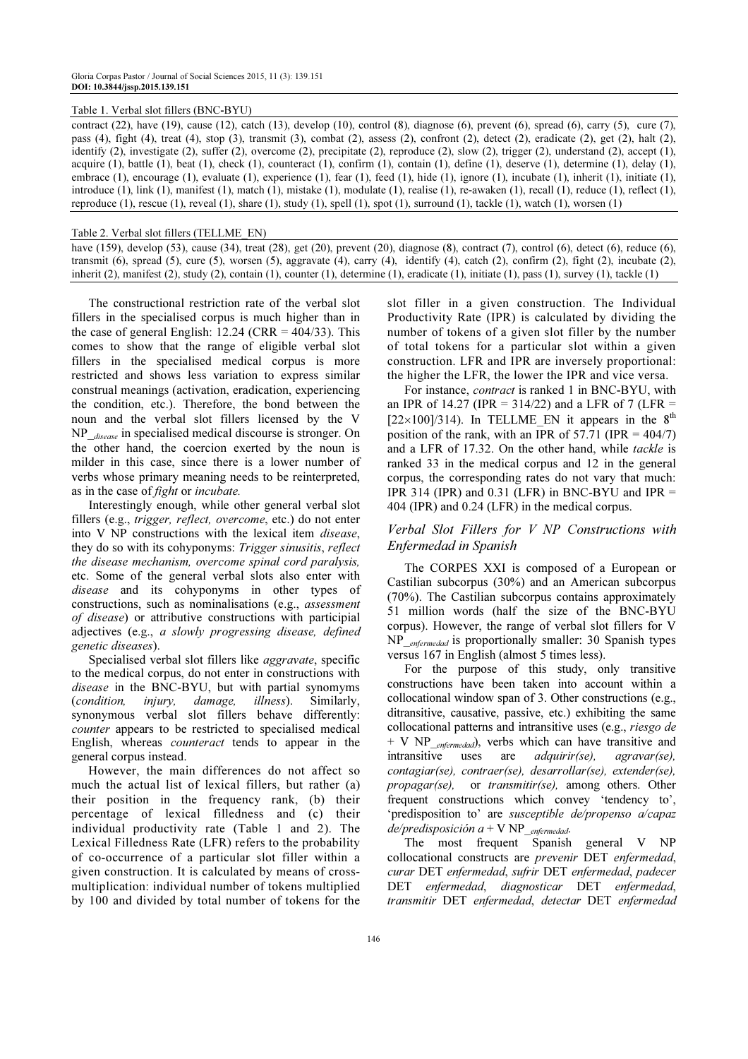#### Table 1. Verbal slot fillers (BNC-BYU)

contract (22), have (19), cause (12), catch (13), develop (10), control (8), diagnose (6), prevent (6), spread (6), carry (5), cure (7), pass (4), fight (4), treat (4), stop (3), transmit (3), combat (2), assess (2), confront (2), detect (2), eradicate (2), get (2), halt (2), identify (2), investigate (2), suffer (2), overcome (2), precipitate (2), reproduce (2), slow (2), trigger (2), understand (2), accept (1), acquire  $(1)$ , battle  $(1)$ , beat  $(1)$ , check  $(1)$ , counteract  $(1)$ , confirm  $(1)$ , contain  $(1)$ , define  $(1)$ , deserve  $(1)$ , determine  $(1)$ , delay  $(1)$ , embrace (1), encourage (1), evaluate (1), experience (1), fear (1), feed (1), hide (1), ignore (1), incubate (1), initiate (1), initiate (1), introduce  $(1)$ , link  $(1)$ , manifest  $(1)$ , match  $(1)$ , mistake  $(1)$ , modulate  $(1)$ , realise  $(1)$ , re-awaken  $(1)$ , recall  $(1)$ , reduce  $(1)$ , reflect  $(1)$ , reproduce  $(1)$ , rescue  $(1)$ , reveal  $(1)$ , share  $(1)$ , study  $(1)$ , spot  $(1)$ , spot  $(1)$ , surround  $(1)$ , tackle  $(1)$ , watch  $(1)$ , worsen  $(1)$ 

#### Table 2. Verbal slot fillers (TELLME\_EN)

have (159), develop (53), cause (34), treat (28), get (20), prevent (20), diagnose (8), contract (7), control (6), detect (6), reduce (6), transmit (6), spread (5), cure (5), worsen (5), aggravate (4), carry (4), identify (4), catch (2), confirm (2), fight (2), incubate (2), inherit (2), manifest (2), study (2), contain (1), counter (1), determine (1), eradicate (1), initiate (1), pass (1), survey (1), tackle (1)

The constructional restriction rate of the verbal slot fillers in the specialised corpus is much higher than in the case of general English:  $12.24$  (CRR =  $404/33$ ). This comes to show that the range of eligible verbal slot fillers in the specialised medical corpus is more restricted and shows less variation to express similar construal meanings (activation, eradication, experiencing the condition, etc.). Therefore, the bond between the noun and the verbal slot fillers licensed by the V NP <sub>disease</sub> in specialised medical discourse is stronger. On the other hand, the coercion exerted by the noun is milder in this case, since there is a lower number of verbs whose primary meaning needs to be reinterpreted, as in the case of fight or incubate.

Interestingly enough, while other general verbal slot fillers (e.g., trigger, reflect, overcome, etc.) do not enter into V NP constructions with the lexical item disease, they do so with its cohyponyms: Trigger sinusitis, reflect the disease mechanism, overcome spinal cord paralysis, etc. Some of the general verbal slots also enter with disease and its cohyponyms in other types of constructions, such as nominalisations (e.g., assessment of disease) or attributive constructions with participial adjectives (e.g., a slowly progressing disease, defined genetic diseases).

Specialised verbal slot fillers like aggravate, specific to the medical corpus, do not enter in constructions with disease in the BNC-BYU, but with partial synomyms (condition, injury, damage, illness). Similarly, synonymous verbal slot fillers behave differently: counter appears to be restricted to specialised medical English, whereas counteract tends to appear in the general corpus instead.

However, the main differences do not affect so much the actual list of lexical fillers, but rather (a) their position in the frequency rank, (b) their percentage of lexical filledness and (c) their individual productivity rate (Table 1 and 2). The Lexical Filledness Rate (LFR) refers to the probability of co-occurrence of a particular slot filler within a given construction. It is calculated by means of crossmultiplication: individual number of tokens multiplied by 100 and divided by total number of tokens for the slot filler in a given construction. The Individual Productivity Rate (IPR) is calculated by dividing the number of tokens of a given slot filler by the number of total tokens for a particular slot within a given construction. LFR and IPR are inversely proportional: the higher the LFR, the lower the IPR and vice versa.

For instance, contract is ranked 1 in BNC-BYU, with an IPR of 14.27 (IPR = 314/22) and a LFR of 7 (LFR =  $[22\times100]/314$ ). In TELLME EN it appears in the 8<sup>th</sup> position of the rank, with an IPR of  $57.71$  (IPR =  $404/7$ ) and a LFR of 17.32. On the other hand, while tackle is ranked 33 in the medical corpus and 12 in the general corpus, the corresponding rates do not vary that much: IPR 314 (IPR) and  $0.31$  (LFR) in BNC-BYU and IPR = 404 (IPR) and 0.24 (LFR) in the medical corpus.

## Verbal Slot Fillers for V NP Constructions with Enfermedad in Spanish

The CORPES XXI is composed of a European or Castilian subcorpus (30%) and an American subcorpus (70%). The Castilian subcorpus contains approximately 51 million words (half the size of the BNC-BYU corpus). However, the range of verbal slot fillers for V NP\_enfermedad is proportionally smaller: 30 Spanish types versus 167 in English (almost 5 times less).

For the purpose of this study, only transitive constructions have been taken into account within a collocational window span of 3. Other constructions (e.g., ditransitive, causative, passive, etc.) exhibiting the same collocational patterns and intransitive uses (e.g., riesgo de + V NP\_enfermedad), verbs which can have transitive and intransitive uses are *adquirir(se)*, agravar(se), contagiar(se), contraer(se), desarrollar(se), extender(se), propagar(se), or transmitir(se), among others. Other frequent constructions which convey 'tendency to', 'predisposition to' are susceptible de/propenso a/capaz  $de/predisposición a + V NP_{enfermedad}$ .

The most frequent Spanish general V NP collocational constructs are prevenir DET enfermedad, curar DET enfermedad, sufrir DET enfermedad, padecer DET enfermedad, diagnosticar DET enfermedad, transmitir DET enfermedad, detectar DET enfermedad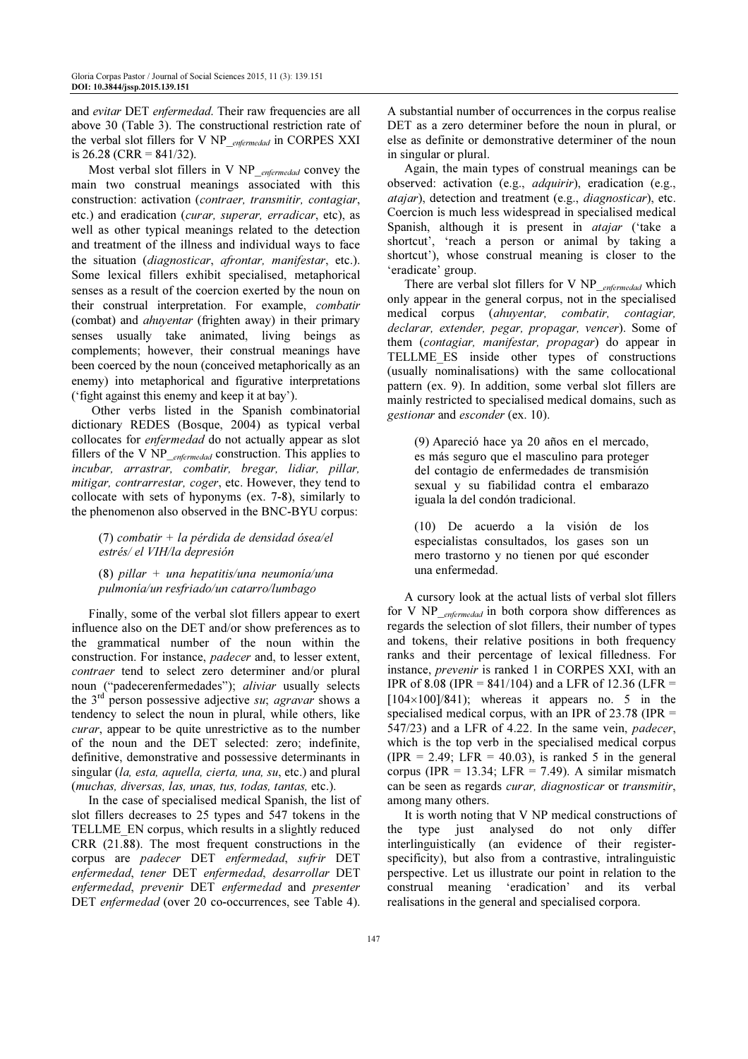and evitar DET enfermedad. Their raw frequencies are all above 30 (Table 3). The constructional restriction rate of the verbal slot fillers for V NP  $_{enfermedad}$  in CORPES XXI is  $26.28$  (CRR =  $841/32$ ).

Most verbal slot fillers in V NP\_enfermedad convey the main two construal meanings associated with this construction: activation (contraer, transmitir, contagiar, etc.) and eradication (curar, superar, erradicar, etc), as well as other typical meanings related to the detection and treatment of the illness and individual ways to face the situation (diagnosticar, afrontar, manifestar, etc.). Some lexical fillers exhibit specialised, metaphorical senses as a result of the coercion exerted by the noun on their construal interpretation. For example, combatir (combat) and ahuyentar (frighten away) in their primary senses usually take animated, living beings as complements; however, their construal meanings have been coerced by the noun (conceived metaphorically as an enemy) into metaphorical and figurative interpretations ('fight against this enemy and keep it at bay').

 Other verbs listed in the Spanish combinatorial dictionary REDES (Bosque, 2004) as typical verbal collocates for enfermedad do not actually appear as slot fillers of the V NP $_{\_{{\text{enfermedad}}}$  construction. This applies to incubar, arrastrar, combatir, bregar, lidiar, pillar, mitigar, contrarrestar, coger, etc. However, they tend to collocate with sets of hyponyms (ex. 7-8), similarly to the phenomenon also observed in the BNC-BYU corpus:

(7) combatir + la pérdida de densidad ósea/el estrés/ el VIH/la depresión

(8) pillar + una hepatitis/una neumonía/una pulmonía/un resfriado/un catarro/lumbago

Finally, some of the verbal slot fillers appear to exert influence also on the DET and/or show preferences as to the grammatical number of the noun within the construction. For instance, padecer and, to lesser extent, contraer tend to select zero determiner and/or plural noun ("padecerenfermedades"); aliviar usually selects the  $3<sup>rd</sup>$  person possessive adjective su; agravar shows a tendency to select the noun in plural, while others, like curar, appear to be quite unrestrictive as to the number of the noun and the DET selected: zero; indefinite, definitive, demonstrative and possessive determinants in singular (la, esta, aquella, cierta, una, su, etc.) and plural (muchas, diversas, las, unas, tus, todas, tantas, etc.).

In the case of specialised medical Spanish, the list of slot fillers decreases to 25 types and 547 tokens in the TELLME\_EN corpus, which results in a slightly reduced CRR (21.88). The most frequent constructions in the corpus are padecer DET enfermedad, sufrir DET enfermedad, tener DET enfermedad, desarrollar DET enfermedad, prevenir DET enfermedad and presenter DET enfermedad (over 20 co-occurrences, see Table 4).

A substantial number of occurrences in the corpus realise DET as a zero determiner before the noun in plural, or else as definite or demonstrative determiner of the noun in singular or plural.

Again, the main types of construal meanings can be observed: activation (e.g., adquirir), eradication (e.g., atajar), detection and treatment (e.g., diagnosticar), etc. Coercion is much less widespread in specialised medical Spanish, although it is present in atajar ('take a shortcut', 'reach a person or animal by taking a shortcut'), whose construal meaning is closer to the 'eradicate' group.

There are verbal slot fillers for V NP  $_{enfermedad}$  which only appear in the general corpus, not in the specialised medical corpus (ahuyentar, combatir, contagiar, declarar, extender, pegar, propagar, vencer). Some of them (contagiar, manifestar, propagar) do appear in TELLME\_ES inside other types of constructions (usually nominalisations) with the same collocational pattern (ex. 9). In addition, some verbal slot fillers are mainly restricted to specialised medical domains, such as gestionar and esconder (ex. 10).

(9) Apareció hace ya 20 años en el mercado, es más seguro que el masculino para proteger del contagio de enfermedades de transmisión sexual y su fiabilidad contra el embarazo iguala la del condón tradicional.

(10) De acuerdo a la visión de los especialistas consultados, los gases son un mero trastorno y no tienen por qué esconder una enfermedad.

A cursory look at the actual lists of verbal slot fillers for V NP<sub>\_enfermedad</sub> in both corpora show differences as regards the selection of slot fillers, their number of types and tokens, their relative positions in both frequency ranks and their percentage of lexical filledness. For instance, prevenir is ranked 1 in CORPES XXI, with an IPR of 8.08 (IPR = 841/104) and a LFR of 12.36 (LFR =  $[104 \times 100]/841$ ; whereas it appears no. 5 in the specialised medical corpus, with an IPR of 23.78 (IPR = 547/23) and a LFR of 4.22. In the same vein, padecer, which is the top verb in the specialised medical corpus  $(IPR = 2.49; LFR = 40.03)$ , is ranked 5 in the general corpus (IPR = 13.34; LFR = 7.49). A similar mismatch can be seen as regards curar, diagnosticar or transmitir, among many others.

It is worth noting that V NP medical constructions of the type just analysed do not only differ interlinguistically (an evidence of their registerspecificity), but also from a contrastive, intralinguistic perspective. Let us illustrate our point in relation to the construal meaning 'eradication' and its verbal realisations in the general and specialised corpora.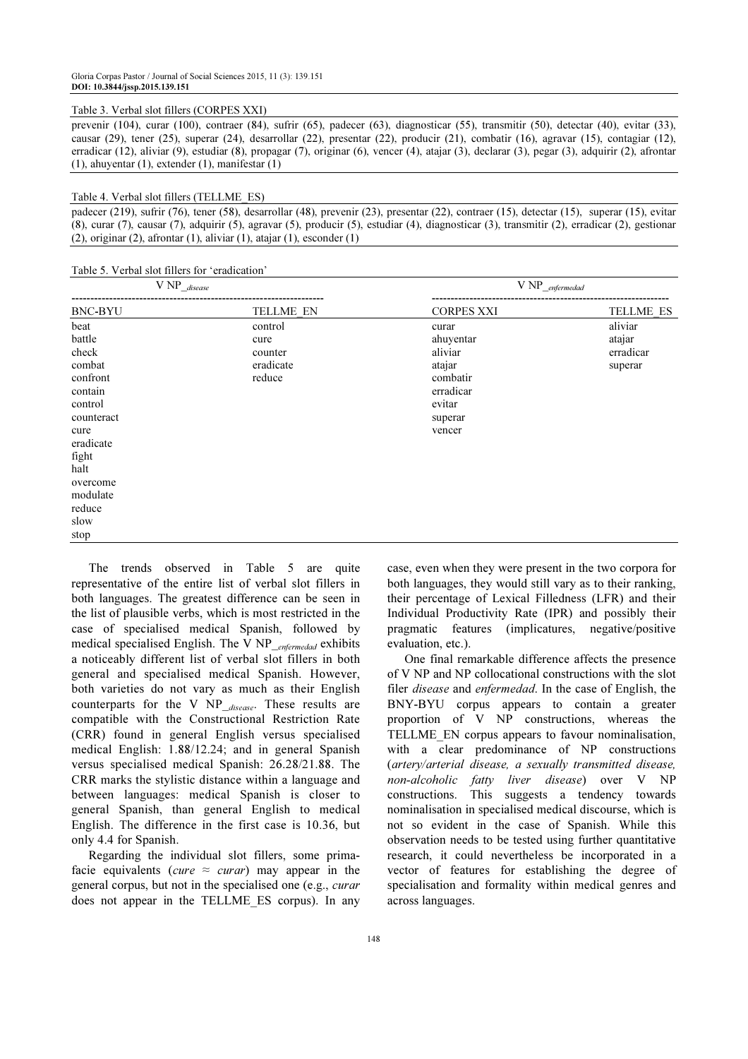## Table 3. Verbal slot fillers (CORPES XXI)

prevenir (104), curar (100), contraer (84), sufrir (65), padecer (63), diagnosticar (55), transmitir (50), detectar (40), evitar (33), causar (29), tener (25), superar (24), desarrollar (22), presentar (22), producir (21), combatir (16), agravar (15), contagiar (12), erradicar (12), aliviar (9), estudiar (8), propagar (7), originar (6), vencer (4), atajar (3), declarar (3), pegar (3), adquirir (2), afrontar (1), ahuyentar (1), extender (1), manifestar (1)

#### Table 4. Verbal slot fillers (TELLME\_ES)

padecer (219), sufrir (76), tener (58), desarrollar (48), prevenir (23), presentar (22), contraer (15), detectar (15), superar (15), evitar (8), curar (7), causar (7), adquirir (5), agravar (5), producir (5), estudiar (4), diagnosticar (3), transmitir (2), erradicar (2), gestionar (2), originar (2), afrontar (1), aliviar (1), atajar (1), esconder (1)

| V $NP$ _disease |                  | $\mathrm{V} \; \mathrm{NP}_{\_ \textit{enfermedad}}$ |                  |
|-----------------|------------------|------------------------------------------------------|------------------|
| <b>BNC-BYU</b>  | <b>TELLME EN</b> | <b>CORPES XXI</b>                                    | <b>TELLME ES</b> |
| beat            | control          | curar                                                | aliviar          |
| battle          | cure             | ahuyentar                                            | atajar           |
| check           | counter          | aliviar                                              | erradicar        |
| combat          | eradicate        | atajar                                               | superar          |
| confront        | reduce           | combatir                                             |                  |
| contain         |                  | erradicar                                            |                  |
| control         |                  | evitar                                               |                  |
| counteract      |                  | superar                                              |                  |
| cure            |                  | vencer                                               |                  |
| eradicate       |                  |                                                      |                  |
| fight           |                  |                                                      |                  |
| halt            |                  |                                                      |                  |
| overcome        |                  |                                                      |                  |
| modulate        |                  |                                                      |                  |
| reduce          |                  |                                                      |                  |
| slow            |                  |                                                      |                  |
| stop            |                  |                                                      |                  |

The trends observed in Table 5 are quite representative of the entire list of verbal slot fillers in both languages. The greatest difference can be seen in the list of plausible verbs, which is most restricted in the case of specialised medical Spanish, followed by medical specialised English. The V NP\_enfermedad exhibits a noticeably different list of verbal slot fillers in both general and specialised medical Spanish. However, both varieties do not vary as much as their English counterparts for the V NP\_disease. These results are compatible with the Constructional Restriction Rate (CRR) found in general English versus specialised medical English: 1.88/12.24; and in general Spanish versus specialised medical Spanish: 26.28/21.88. The CRR marks the stylistic distance within a language and between languages: medical Spanish is closer to general Spanish, than general English to medical English. The difference in the first case is 10.36, but only 4.4 for Spanish.

Regarding the individual slot fillers, some primafacie equivalents (*cure*  $\approx$  *curar*) may appear in the general corpus, but not in the specialised one (e.g., curar does not appear in the TELLME\_ES corpus). In any case, even when they were present in the two corpora for both languages, they would still vary as to their ranking, their percentage of Lexical Filledness (LFR) and their Individual Productivity Rate (IPR) and possibly their pragmatic features (implicatures, negative/positive evaluation, etc.).

One final remarkable difference affects the presence of V NP and NP collocational constructions with the slot filer disease and enfermedad. In the case of English, the BNY-BYU corpus appears to contain a greater proportion of V NP constructions, whereas the TELLME\_EN corpus appears to favour nominalisation, with a clear predominance of NP constructions (artery/arterial disease, a sexually transmitted disease, non-alcoholic fatty liver disease) over V NP constructions. This suggests a tendency towards nominalisation in specialised medical discourse, which is not so evident in the case of Spanish. While this observation needs to be tested using further quantitative research, it could nevertheless be incorporated in a vector of features for establishing the degree of specialisation and formality within medical genres and across languages.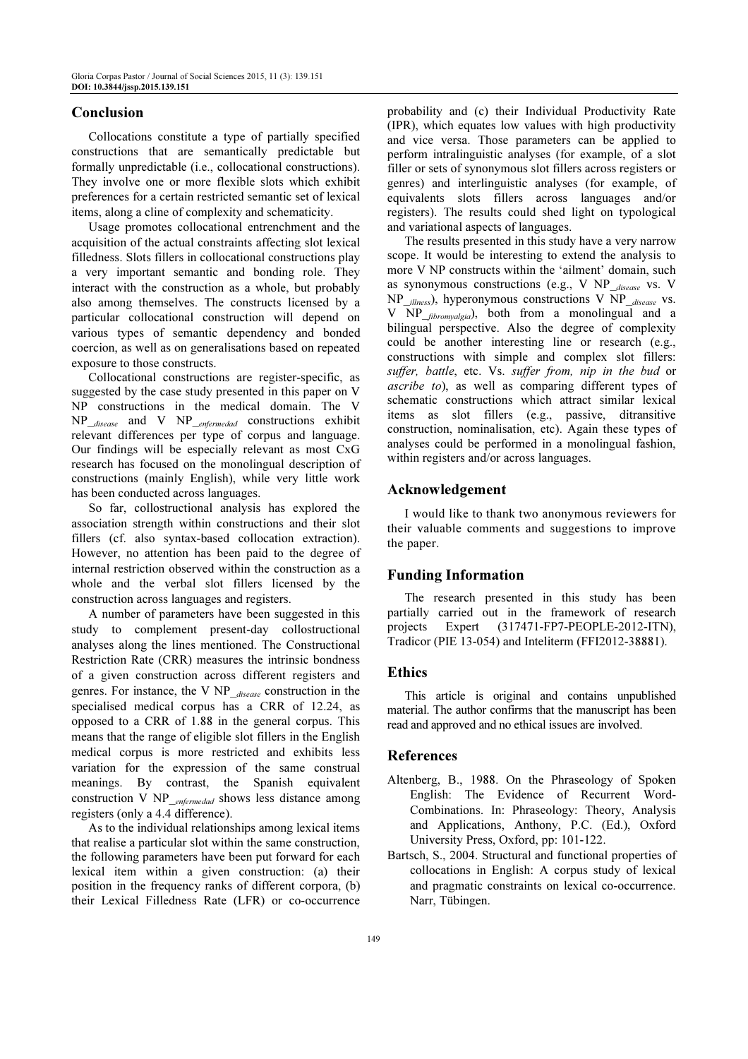## Conclusion

Collocations constitute a type of partially specified constructions that are semantically predictable but formally unpredictable (i.e., collocational constructions). They involve one or more flexible slots which exhibit preferences for a certain restricted semantic set of lexical items, along a cline of complexity and schematicity.

Usage promotes collocational entrenchment and the acquisition of the actual constraints affecting slot lexical filledness. Slots fillers in collocational constructions play a very important semantic and bonding role. They interact with the construction as a whole, but probably also among themselves. The constructs licensed by a particular collocational construction will depend on various types of semantic dependency and bonded coercion, as well as on generalisations based on repeated exposure to those constructs.

Collocational constructions are register-specific, as suggested by the case study presented in this paper on V NP constructions in the medical domain. The V NP\_disease and V NP\_enfermedad constructions exhibit relevant differences per type of corpus and language. Our findings will be especially relevant as most CxG research has focused on the monolingual description of constructions (mainly English), while very little work has been conducted across languages.

So far, collostructional analysis has explored the association strength within constructions and their slot fillers (cf. also syntax-based collocation extraction). However, no attention has been paid to the degree of internal restriction observed within the construction as a whole and the verbal slot fillers licensed by the construction across languages and registers.

A number of parameters have been suggested in this study to complement present-day collostructional analyses along the lines mentioned. The Constructional Restriction Rate (CRR) measures the intrinsic bondness of a given construction across different registers and genres. For instance, the V  $NP$ <sub>*disease* construction in the</sub> specialised medical corpus has a CRR of 12.24, as opposed to a CRR of 1.88 in the general corpus. This means that the range of eligible slot fillers in the English medical corpus is more restricted and exhibits less variation for the expression of the same construal meanings. By contrast, the Spanish equivalent construction V NP<sub>\_enfermedad</sub> shows less distance among registers (only a 4.4 difference).

As to the individual relationships among lexical items that realise a particular slot within the same construction, the following parameters have been put forward for each lexical item within a given construction: (a) their position in the frequency ranks of different corpora, (b) their Lexical Filledness Rate (LFR) or co-occurrence

probability and (c) their Individual Productivity Rate (IPR), which equates low values with high productivity and vice versa. Those parameters can be applied to perform intralinguistic analyses (for example, of a slot filler or sets of synonymous slot fillers across registers or genres) and interlinguistic analyses (for example, of equivalents slots fillers across languages and/or registers). The results could shed light on typological and variational aspects of languages.

The results presented in this study have a very narrow scope. It would be interesting to extend the analysis to more V NP constructs within the 'ailment' domain, such as synonymous constructions (e.g., V NP  $_{disease}$  vs. V NP  $_{illness}$ ), hyperonymous constructions V NP  $_{discase}$  vs. V NP<sub>\_fibromyalgia</sub>), both from a monolingual and a bilingual perspective. Also the degree of complexity could be another interesting line or research (e.g., constructions with simple and complex slot fillers: suffer, battle, etc. Vs. suffer from, nip in the bud or ascribe to), as well as comparing different types of schematic constructions which attract similar lexical items as slot fillers (e.g., passive, ditransitive construction, nominalisation, etc). Again these types of analyses could be performed in a monolingual fashion, within registers and/or across languages.

## Acknowledgement

I would like to thank two anonymous reviewers for their valuable comments and suggestions to improve the paper.

## Funding Information

The research presented in this study has been partially carried out in the framework of research projects Expert (317471-FP7-PEOPLE-2012-ITN), Tradicor (PIE 13-054) and Inteliterm (FFI2012-38881).

## Ethics

This article is original and contains unpublished material. The author confirms that the manuscript has been read and approved and no ethical issues are involved.

#### References

- Altenberg, B., 1988. On the Phraseology of Spoken English: The Evidence of Recurrent Word-Combinations. In: Phraseology: Theory, Analysis and Applications, Anthony, P.C. (Ed.), Oxford University Press, Oxford, pp: 101-122.
- Bartsch, S., 2004. Structural and functional properties of collocations in English: A corpus study of lexical and pragmatic constraints on lexical co-occurrence. Narr, Tübingen.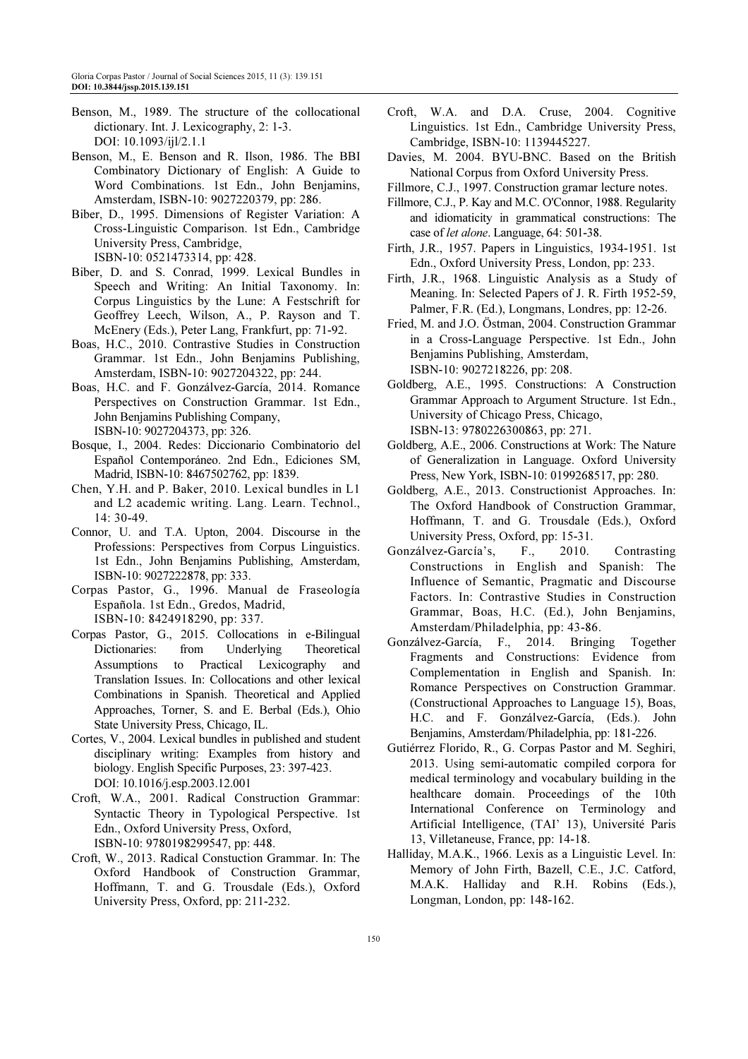- Benson, M., 1989. The structure of the collocational dictionary. Int. J. Lexicography, 2: 1-3. DOI: 10.1093/ijl/2.1.1
- Benson, M., E. Benson and R. Ilson, 1986. The BBI Combinatory Dictionary of English: A Guide to Word Combinations. 1st Edn., John Benjamins, Amsterdam, ISBN-10: 9027220379, pp: 286.
- Biber, D., 1995. Dimensions of Register Variation: A Cross-Linguistic Comparison. 1st Edn., Cambridge University Press, Cambridge, ISBN-10: 0521473314, pp: 428.
- Biber, D. and S. Conrad, 1999. Lexical Bundles in Speech and Writing: An Initial Taxonomy. In: Corpus Linguistics by the Lune: A Festschrift for Geoffrey Leech, Wilson, A., P. Rayson and T. McEnery (Eds.), Peter Lang, Frankfurt, pp: 71-92.
- Boas, H.C., 2010. Contrastive Studies in Construction Grammar. 1st Edn., John Benjamins Publishing, Amsterdam, ISBN-10: 9027204322, pp: 244.
- Boas, H.C. and F. Gonzálvez-García, 2014. Romance Perspectives on Construction Grammar. 1st Edn., John Benjamins Publishing Company, ISBN-10: 9027204373, pp: 326.
- Bosque, I., 2004. Redes: Diccionario Combinatorio del Español Contemporáneo. 2nd Edn., Ediciones SM, Madrid, ISBN-10: 8467502762, pp: 1839.
- Chen, Y.H. and P. Baker, 2010. Lexical bundles in L1 and L2 academic writing. Lang. Learn. Technol., 14: 30-49.
- Connor, U. and T.A. Upton, 2004. Discourse in the Professions: Perspectives from Corpus Linguistics. 1st Edn., John Benjamins Publishing, Amsterdam, ISBN-10: 9027222878, pp: 333.
- Corpas Pastor, G., 1996. Manual de Fraseología Española. 1st Edn., Gredos, Madrid, ISBN-10: 8424918290, pp: 337.
- Corpas Pastor, G., 2015. Collocations in e-Bilingual Dictionaries: from Underlying Theoretical Assumptions to Practical Lexicography and Translation Issues. In: Collocations and other lexical Combinations in Spanish. Theoretical and Applied Approaches, Torner, S. and E. Berbal (Eds.), Ohio State University Press, Chicago, IL.
- Cortes, V., 2004. Lexical bundles in published and student disciplinary writing: Examples from history and biology. English Specific Purposes, 23: 397-423. DOI: 10.1016/j.esp.2003.12.001
- Croft, W.A., 2001. Radical Construction Grammar: Syntactic Theory in Typological Perspective. 1st Edn., Oxford University Press, Oxford, ISBN-10: 9780198299547, pp: 448.
- Croft, W., 2013. Radical Constuction Grammar. In: The Oxford Handbook of Construction Grammar, Hoffmann, T. and G. Trousdale (Eds.), Oxford University Press, Oxford, pp: 211-232.
- Croft, W.A. and D.A. Cruse, 2004. Cognitive Linguistics. 1st Edn., Cambridge University Press, Cambridge, ISBN-10: 1139445227.
- Davies, M. 2004. BYU-BNC. Based on the British National Corpus from Oxford University Press.
- Fillmore, C.J., 1997. Construction gramar lecture notes.
- Fillmore, C.J., P. Kay and M.C. O'Connor, 1988. Regularity and idiomaticity in grammatical constructions: The case of let alone. Language, 64: 501-38.
- Firth, J.R., 1957. Papers in Linguistics, 1934-1951. 1st Edn., Oxford University Press, London, pp: 233.
- Firth, J.R., 1968. Linguistic Analysis as a Study of Meaning. In: Selected Papers of J. R. Firth 1952-59, Palmer, F.R. (Ed.), Longmans, Londres, pp: 12-26.
- Fried, M. and J.O. Östman, 2004. Construction Grammar in a Cross-Language Perspective. 1st Edn., John Benjamins Publishing, Amsterdam, ISBN-10: 9027218226, pp: 208.
- Goldberg, A.E., 1995. Constructions: A Construction Grammar Approach to Argument Structure. 1st Edn., University of Chicago Press, Chicago, ISBN-13: 9780226300863, pp: 271.
- Goldberg, A.E., 2006. Constructions at Work: The Nature of Generalization in Language. Oxford University Press, New York, ISBN-10: 0199268517, pp: 280.
- Goldberg, A.E., 2013. Constructionist Approaches. In: The Oxford Handbook of Construction Grammar, Hoffmann, T. and G. Trousdale (Eds.), Oxford University Press, Oxford, pp: 15-31.
- Gonzálvez-García's, F., 2010. Contrasting Constructions in English and Spanish: The Influence of Semantic, Pragmatic and Discourse Factors. In: Contrastive Studies in Construction Grammar, Boas, H.C. (Ed.), John Benjamins, Amsterdam/Philadelphia, pp: 43-86.
- Gonzálvez-García, F., 2014. Bringing Together Fragments and Constructions: Evidence from Complementation in English and Spanish. In: Romance Perspectives on Construction Grammar. (Constructional Approaches to Language 15), Boas, H.C. and F. Gonzálvez-García, (Eds.). John Benjamins, Amsterdam/Philadelphia, pp: 181-226.
- Gutiérrez Florido, R., G. Corpas Pastor and M. Seghiri, 2013. Using semi-automatic compiled corpora for medical terminology and vocabulary building in the healthcare domain. Proceedings of the 10th International Conference on Terminology and Artificial Intelligence, (TAI' 13), Université Paris 13, Villetaneuse, France, pp: 14-18.
- Halliday, M.A.K., 1966. Lexis as a Linguistic Level. In: Memory of John Firth, Bazell, C.E., J.C. Catford, M.A.K. Halliday and R.H. Robins (Eds.), Longman, London, pp: 148-162.